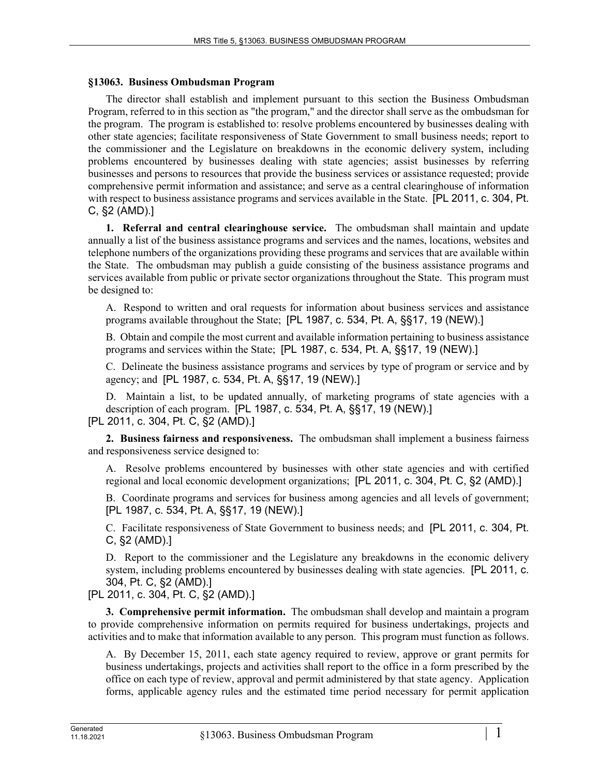## **§13063. Business Ombudsman Program**

The director shall establish and implement pursuant to this section the Business Ombudsman Program, referred to in this section as "the program," and the director shall serve as the ombudsman for the program. The program is established to: resolve problems encountered by businesses dealing with other state agencies; facilitate responsiveness of State Government to small business needs; report to the commissioner and the Legislature on breakdowns in the economic delivery system, including problems encountered by businesses dealing with state agencies; assist businesses by referring businesses and persons to resources that provide the business services or assistance requested; provide comprehensive permit information and assistance; and serve as a central clearinghouse of information with respect to business assistance programs and services available in the State. [PL 2011, c. 304, Pt. C, §2 (AMD).]

**1. Referral and central clearinghouse service.** The ombudsman shall maintain and update annually a list of the business assistance programs and services and the names, locations, websites and telephone numbers of the organizations providing these programs and services that are available within the State. The ombudsman may publish a guide consisting of the business assistance programs and services available from public or private sector organizations throughout the State. This program must be designed to:

A. Respond to written and oral requests for information about business services and assistance programs available throughout the State; [PL 1987, c. 534, Pt. A, §§17, 19 (NEW).]

B. Obtain and compile the most current and available information pertaining to business assistance programs and services within the State; [PL 1987, c. 534, Pt. A, §§17, 19 (NEW).]

C. Delineate the business assistance programs and services by type of program or service and by agency; and [PL 1987, c. 534, Pt. A, §§17, 19 (NEW).]

D. Maintain a list, to be updated annually, of marketing programs of state agencies with a description of each program. [PL 1987, c. 534, Pt. A, §§17, 19 (NEW).] [PL 2011, c. 304, Pt. C, §2 (AMD).]

**2. Business fairness and responsiveness.** The ombudsman shall implement a business fairness and responsiveness service designed to:

A. Resolve problems encountered by businesses with other state agencies and with certified regional and local economic development organizations; [PL 2011, c. 304, Pt. C, §2 (AMD).]

B. Coordinate programs and services for business among agencies and all levels of government; [PL 1987, c. 534, Pt. A, §§17, 19 (NEW).]

C. Facilitate responsiveness of State Government to business needs; and [PL 2011, c. 304, Pt. C, §2 (AMD).]

D. Report to the commissioner and the Legislature any breakdowns in the economic delivery system, including problems encountered by businesses dealing with state agencies. [PL 2011, c. 304, Pt. C, §2 (AMD).]

[PL 2011, c. 304, Pt. C, §2 (AMD).]

**3. Comprehensive permit information.** The ombudsman shall develop and maintain a program to provide comprehensive information on permits required for business undertakings, projects and activities and to make that information available to any person. This program must function as follows.

A. By December 15, 2011, each state agency required to review, approve or grant permits for business undertakings, projects and activities shall report to the office in a form prescribed by the office on each type of review, approval and permit administered by that state agency. Application forms, applicable agency rules and the estimated time period necessary for permit application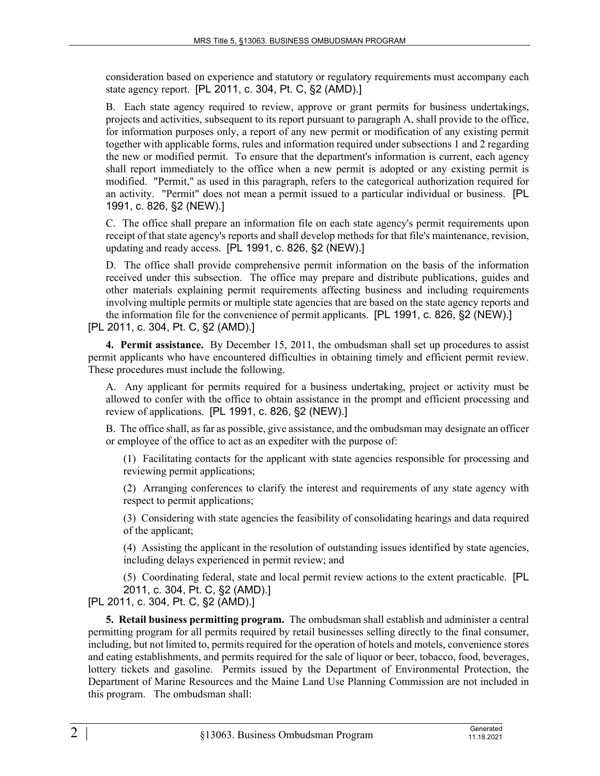consideration based on experience and statutory or regulatory requirements must accompany each state agency report. [PL 2011, c. 304, Pt. C, §2 (AMD).]

B. Each state agency required to review, approve or grant permits for business undertakings, projects and activities, subsequent to its report pursuant to paragraph A, shall provide to the office, for information purposes only, a report of any new permit or modification of any existing permit together with applicable forms, rules and information required under subsections 1 and 2 regarding the new or modified permit. To ensure that the department's information is current, each agency shall report immediately to the office when a new permit is adopted or any existing permit is modified. "Permit," as used in this paragraph, refers to the categorical authorization required for an activity. "Permit" does not mean a permit issued to a particular individual or business. [PL 1991, c. 826, §2 (NEW).]

C. The office shall prepare an information file on each state agency's permit requirements upon receipt of that state agency's reports and shall develop methods for that file's maintenance, revision, updating and ready access. [PL 1991, c. 826, §2 (NEW).]

D. The office shall provide comprehensive permit information on the basis of the information received under this subsection. The office may prepare and distribute publications, guides and other materials explaining permit requirements affecting business and including requirements involving multiple permits or multiple state agencies that are based on the state agency reports and the information file for the convenience of permit applicants. [PL 1991, c. 826, §2 (NEW).] [PL 2011, c. 304, Pt. C, §2 (AMD).]

**4. Permit assistance.** By December 15, 2011, the ombudsman shall set up procedures to assist permit applicants who have encountered difficulties in obtaining timely and efficient permit review. These procedures must include the following.

A. Any applicant for permits required for a business undertaking, project or activity must be allowed to confer with the office to obtain assistance in the prompt and efficient processing and review of applications. [PL 1991, c. 826, §2 (NEW).]

B. The office shall, as far as possible, give assistance, and the ombudsman may designate an officer or employee of the office to act as an expediter with the purpose of:

(1) Facilitating contacts for the applicant with state agencies responsible for processing and reviewing permit applications;

(2) Arranging conferences to clarify the interest and requirements of any state agency with respect to permit applications;

(3) Considering with state agencies the feasibility of consolidating hearings and data required of the applicant;

(4) Assisting the applicant in the resolution of outstanding issues identified by state agencies, including delays experienced in permit review; and

(5) Coordinating federal, state and local permit review actions to the extent practicable. [PL 2011, c. 304, Pt. C, §2 (AMD).]

[PL 2011, c. 304, Pt. C, §2 (AMD).]

**5. Retail business permitting program.** The ombudsman shall establish and administer a central permitting program for all permits required by retail businesses selling directly to the final consumer, including, but not limited to, permits required for the operation of hotels and motels, convenience stores and eating establishments, and permits required for the sale of liquor or beer, tobacco, food, beverages, lottery tickets and gasoline. Permits issued by the Department of Environmental Protection, the Department of Marine Resources and the Maine Land Use Planning Commission are not included in this program. The ombudsman shall: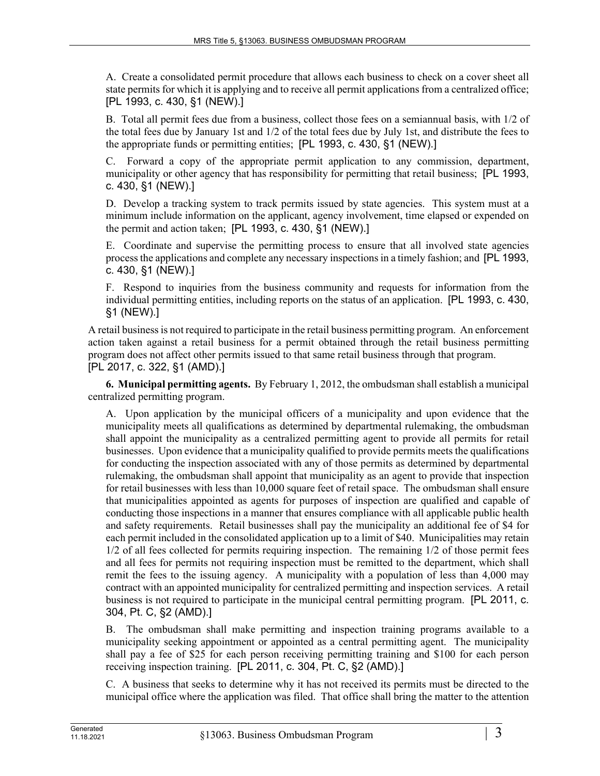A. Create a consolidated permit procedure that allows each business to check on a cover sheet all state permits for which it is applying and to receive all permit applications from a centralized office; [PL 1993, c. 430, §1 (NEW).]

B. Total all permit fees due from a business, collect those fees on a semiannual basis, with 1/2 of the total fees due by January 1st and 1/2 of the total fees due by July 1st, and distribute the fees to the appropriate funds or permitting entities; [PL 1993, c. 430, §1 (NEW).]

C. Forward a copy of the appropriate permit application to any commission, department, municipality or other agency that has responsibility for permitting that retail business; [PL 1993, c. 430, §1 (NEW).]

D. Develop a tracking system to track permits issued by state agencies. This system must at a minimum include information on the applicant, agency involvement, time elapsed or expended on the permit and action taken; [PL 1993, c. 430, §1 (NEW).]

E. Coordinate and supervise the permitting process to ensure that all involved state agencies process the applications and complete any necessary inspections in a timely fashion; and [PL 1993, c. 430, §1 (NEW).]

F. Respond to inquiries from the business community and requests for information from the individual permitting entities, including reports on the status of an application. [PL 1993, c. 430, §1 (NEW).]

A retail business is not required to participate in the retail business permitting program. An enforcement action taken against a retail business for a permit obtained through the retail business permitting program does not affect other permits issued to that same retail business through that program. [PL 2017, c. 322, §1 (AMD).]

**6. Municipal permitting agents.** By February 1, 2012, the ombudsman shall establish a municipal centralized permitting program.

A. Upon application by the municipal officers of a municipality and upon evidence that the municipality meets all qualifications as determined by departmental rulemaking, the ombudsman shall appoint the municipality as a centralized permitting agent to provide all permits for retail businesses. Upon evidence that a municipality qualified to provide permits meets the qualifications for conducting the inspection associated with any of those permits as determined by departmental rulemaking, the ombudsman shall appoint that municipality as an agent to provide that inspection for retail businesses with less than 10,000 square feet of retail space. The ombudsman shall ensure that municipalities appointed as agents for purposes of inspection are qualified and capable of conducting those inspections in a manner that ensures compliance with all applicable public health and safety requirements. Retail businesses shall pay the municipality an additional fee of \$4 for each permit included in the consolidated application up to a limit of \$40. Municipalities may retain 1/2 of all fees collected for permits requiring inspection. The remaining 1/2 of those permit fees and all fees for permits not requiring inspection must be remitted to the department, which shall remit the fees to the issuing agency. A municipality with a population of less than 4,000 may contract with an appointed municipality for centralized permitting and inspection services. A retail business is not required to participate in the municipal central permitting program. [PL 2011, c. 304, Pt. C, §2 (AMD).]

B. The ombudsman shall make permitting and inspection training programs available to a municipality seeking appointment or appointed as a central permitting agent. The municipality shall pay a fee of \$25 for each person receiving permitting training and \$100 for each person receiving inspection training. [PL 2011, c. 304, Pt. C, §2 (AMD).]

C. A business that seeks to determine why it has not received its permits must be directed to the municipal office where the application was filed. That office shall bring the matter to the attention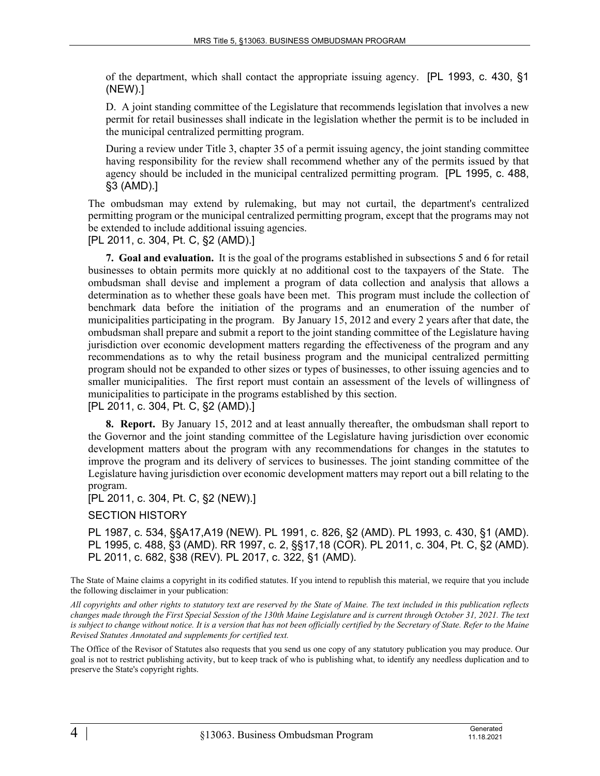of the department, which shall contact the appropriate issuing agency. [PL 1993, c. 430, §1 (NEW).]

D. A joint standing committee of the Legislature that recommends legislation that involves a new permit for retail businesses shall indicate in the legislation whether the permit is to be included in the municipal centralized permitting program.

During a review under Title 3, chapter 35 of a permit issuing agency, the joint standing committee having responsibility for the review shall recommend whether any of the permits issued by that agency should be included in the municipal centralized permitting program. [PL 1995, c. 488, §3 (AMD).]

The ombudsman may extend by rulemaking, but may not curtail, the department's centralized permitting program or the municipal centralized permitting program, except that the programs may not be extended to include additional issuing agencies.

[PL 2011, c. 304, Pt. C, §2 (AMD).]

**7. Goal and evaluation.** It is the goal of the programs established in subsections 5 and 6 for retail businesses to obtain permits more quickly at no additional cost to the taxpayers of the State. The ombudsman shall devise and implement a program of data collection and analysis that allows a determination as to whether these goals have been met. This program must include the collection of benchmark data before the initiation of the programs and an enumeration of the number of municipalities participating in the program. By January 15, 2012 and every 2 years after that date, the ombudsman shall prepare and submit a report to the joint standing committee of the Legislature having jurisdiction over economic development matters regarding the effectiveness of the program and any recommendations as to why the retail business program and the municipal centralized permitting program should not be expanded to other sizes or types of businesses, to other issuing agencies and to smaller municipalities. The first report must contain an assessment of the levels of willingness of municipalities to participate in the programs established by this section.

[PL 2011, c. 304, Pt. C, §2 (AMD).]

**8. Report.** By January 15, 2012 and at least annually thereafter, the ombudsman shall report to the Governor and the joint standing committee of the Legislature having jurisdiction over economic development matters about the program with any recommendations for changes in the statutes to improve the program and its delivery of services to businesses. The joint standing committee of the Legislature having jurisdiction over economic development matters may report out a bill relating to the program.

[PL 2011, c. 304, Pt. C, §2 (NEW).]

SECTION HISTORY

PL 1987, c. 534, §§A17,A19 (NEW). PL 1991, c. 826, §2 (AMD). PL 1993, c. 430, §1 (AMD). PL 1995, c. 488, §3 (AMD). RR 1997, c. 2, §§17,18 (COR). PL 2011, c. 304, Pt. C, §2 (AMD). PL 2011, c. 682, §38 (REV). PL 2017, c. 322, §1 (AMD).

The State of Maine claims a copyright in its codified statutes. If you intend to republish this material, we require that you include the following disclaimer in your publication:

*All copyrights and other rights to statutory text are reserved by the State of Maine. The text included in this publication reflects changes made through the First Special Session of the 130th Maine Legislature and is current through October 31, 2021. The text*  is subject to change without notice. It is a version that has not been officially certified by the Secretary of State. Refer to the Maine *Revised Statutes Annotated and supplements for certified text.*

The Office of the Revisor of Statutes also requests that you send us one copy of any statutory publication you may produce. Our goal is not to restrict publishing activity, but to keep track of who is publishing what, to identify any needless duplication and to preserve the State's copyright rights.